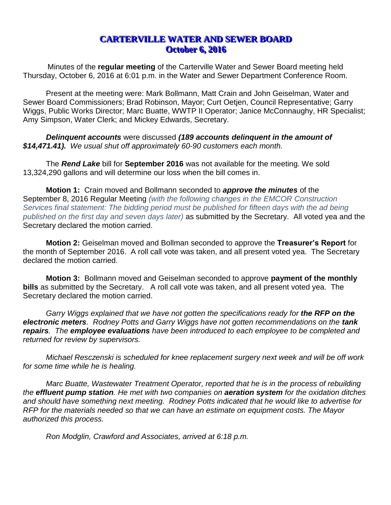## **CARTERVILLE WATER AND SEWER BOARD October 6, 2016**

Minutes of the **regular meeting** of the Carterville Water and Sewer Board meeting held Thursday, October 6, 2016 at 6:01 p.m. in the Water and Sewer Department Conference Room.

Present at the meeting were: Mark Bollmann, Matt Crain and John Geiselman, Water and Sewer Board Commissioners; Brad Robinson, Mayor; Curt Oetjen, Council Representative; Garry Wiggs, Public Works Director; Marc Buatte, WWTP II Operator; Janice McConnaughy, HR Specialist; Amy Simpson, Water Clerk; and Mickey Edwards, Secretary.

*Delinquent accounts* were discussed *(189 accounts delinquent in the amount of \$14,471.41). We usual shut off approximately 60-90 customers each month.* 

The *Rend Lake* bill for **September 2016** was not available for the meeting. We sold 13,324,290 gallons and will determine our loss when the bill comes in.

**Motion 1:** Crain moved and Bollmann seconded to *approve the minutes* of the September 8, 2016 Regular Meeting *(with the following changes in the EMCOR Construction Services final statement: The bidding period must be published for fifteen days with the ad being published on the first day and seven days later)* as submitted by the Secretary. All voted yea and the Secretary declared the motion carried.

**Motion 2:** Geiselman moved and Bollman seconded to approve the **Treasurer's Report** for the month of September 2016. A roll call vote was taken, and all present voted yea. The Secretary declared the motion carried.

**Motion 3:** Bollmann moved and Geiselman seconded to approve **payment of the monthly bills** as submitted by the Secretary. A roll call vote was taken, and all present voted yea. The Secretary declared the motion carried.

*Garry Wiggs explained that we have not gotten the specifications ready for the RFP on the*  **electronic meters**. Rodney Potts and Garry Wiggs have not gotten recommendations on the tank *repairs. The employee evaluations have been introduced to each employee to be completed and returned for review by supervisors.* 

*Michael Resczenski is scheduled for knee replacement surgery next week and will be off work for some time while he is healing.* 

*Marc Buatte, Wastewater Treatment Operator, reported that he is in the process of rebuilding the effluent pump station. He met with two companies on aeration system for the oxidation ditches and should have something next meeting. Rodney Potts indicated that he would like to advertise for RFP for the materials needed so that we can have an estimate on equipment costs. The Mayor authorized this process.*

*Ron Modglin, Crawford and Associates, arrived at 6:18 p.m.*